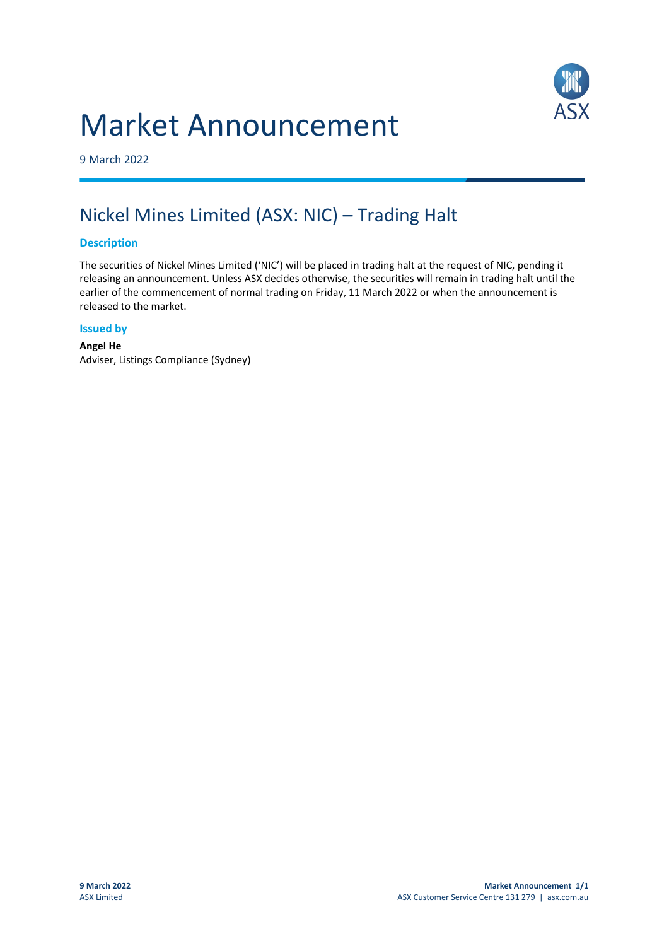# Market Announcement



9 March 2022

## Nickel Mines Limited (ASX: NIC) – Trading Halt

#### **Description**

The securities of Nickel Mines Limited ('NIC') will be placed in trading halt at the request of NIC, pending it releasing an announcement. Unless ASX decides otherwise, the securities will remain in trading halt until the earlier of the commencement of normal trading on Friday, 11 March 2022 or when the announcement is released to the market.

#### **Issued by**

**Angel He** Adviser, Listings Compliance (Sydney)